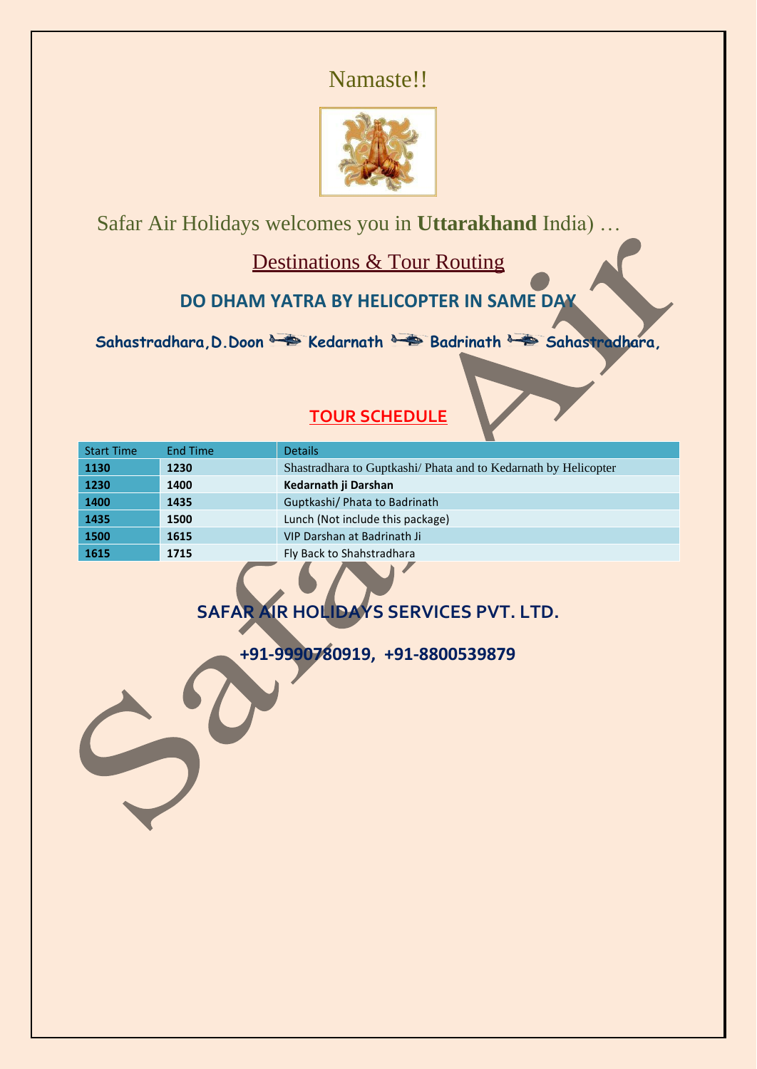# Namaste!!



Safar Air Holidays welcomes you in **Uttarakhand** India) …

Destinations & Tour Routing

**DO DHAM YATRA BY HELICOPTER IN SAME DAY**

Sahastradhara, D. Doon **& Bedarnath Badrinath Badrinath Bahastradhara**,

| <b>Start Time</b> | <b>End Time</b> | <b>Details</b>                                                  |
|-------------------|-----------------|-----------------------------------------------------------------|
| 1130              | 1230            | Shastradhara to Guptkashi/ Phata and to Kedarnath by Helicopter |
| 1230              | 1400            | Kedarnath ji Darshan                                            |
| 1400              | 1435            | Guptkashi/ Phata to Badrinath                                   |
| 1435              | 1500            | Lunch (Not include this package)                                |
| 1500              | 1615            | VIP Darshan at Badrinath Ji                                     |
| 1615              | 1715            | Fly Back to Shahstradhara                                       |
|                   |                 |                                                                 |

## **TOUR SCHEDULE**

# **SAFAR AIR HOLIDAYS SERVICES PVT. LTD.**

**+91-9990780919, +91-8800539879**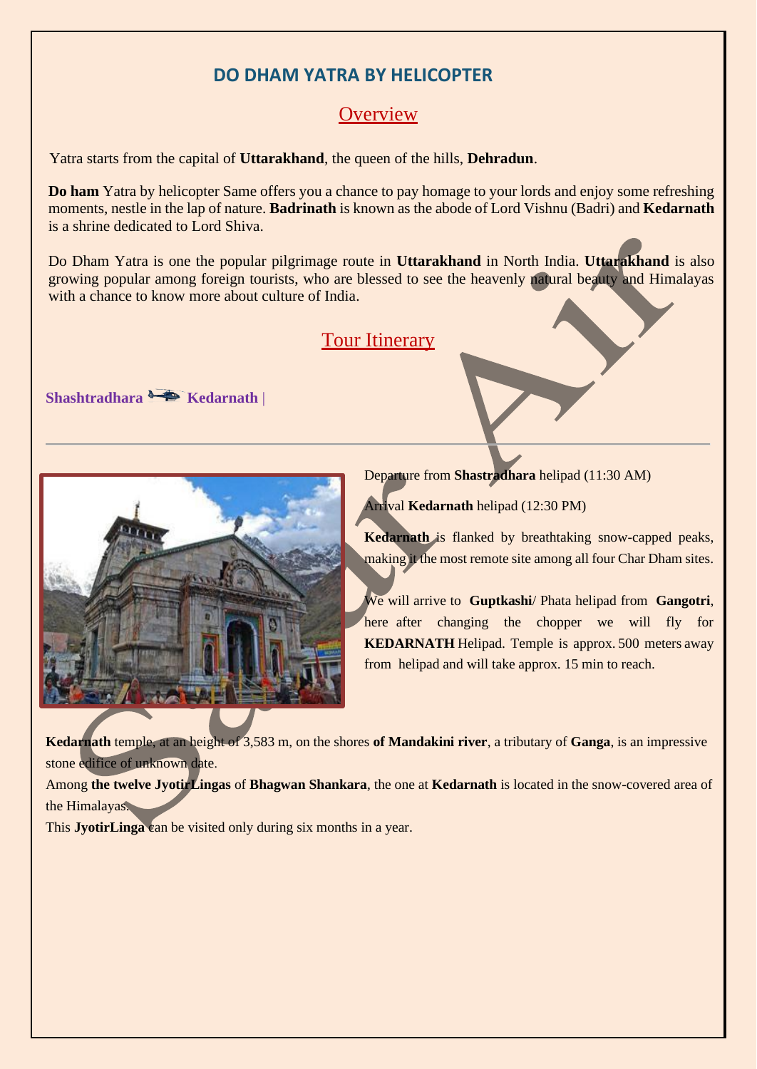## **DO DHAM YATRA BY HELICOPTER**

## **Overview**

Yatra starts from the capital of **Uttarakhand**, the queen of the hills, **Dehradun**.

**Do ham** Yatra by helicopter Same offers you a chance to pay homage to your lords and enjoy some refreshing moments, nestle in the lap of nature. **Badrinath** is known as the abode of Lord Vishnu (Badri) and **Kedarnath** is a shrine dedicated to Lord Shiva.

Do Dham Yatra is one the popular pilgrimage route in **Uttarakhand** in North India. **Uttarakhand** is also growing popular among foreign tourists, who are blessed to see the heavenly natural beauty and Himalayas with a chance to know more about culture of India.

## Tour Itinerary





Departure from **Shastradhara** helipad (11:30 AM)

Arrival **Kedarnath** helipad (12:30 PM)

**Kedarnath** is flanked by breathtaking snow-capped peaks, making it the most remote site among all four Char Dham sites.

We will arrive to **Guptkashi**/ Phata helipad from **Gangotri**, here after changing the chopper we will fly for **KEDARNATH** Helipad. Temple is approx. 500 meters away from helipad and will take approx. 15 min to reach.

**Kedarnath** temple, at an height of 3,583 m, on the shores **of Mandakini river**, a tributary of **Ganga**, is an impressive stone edifice of unknown date.

Among **the twelve JyotirLingas** of **Bhagwan Shankara**, the one at **Kedarnath** is located in the snow-covered area of the Himalayas.

This **JyotirLinga** can be visited only during six months in a year.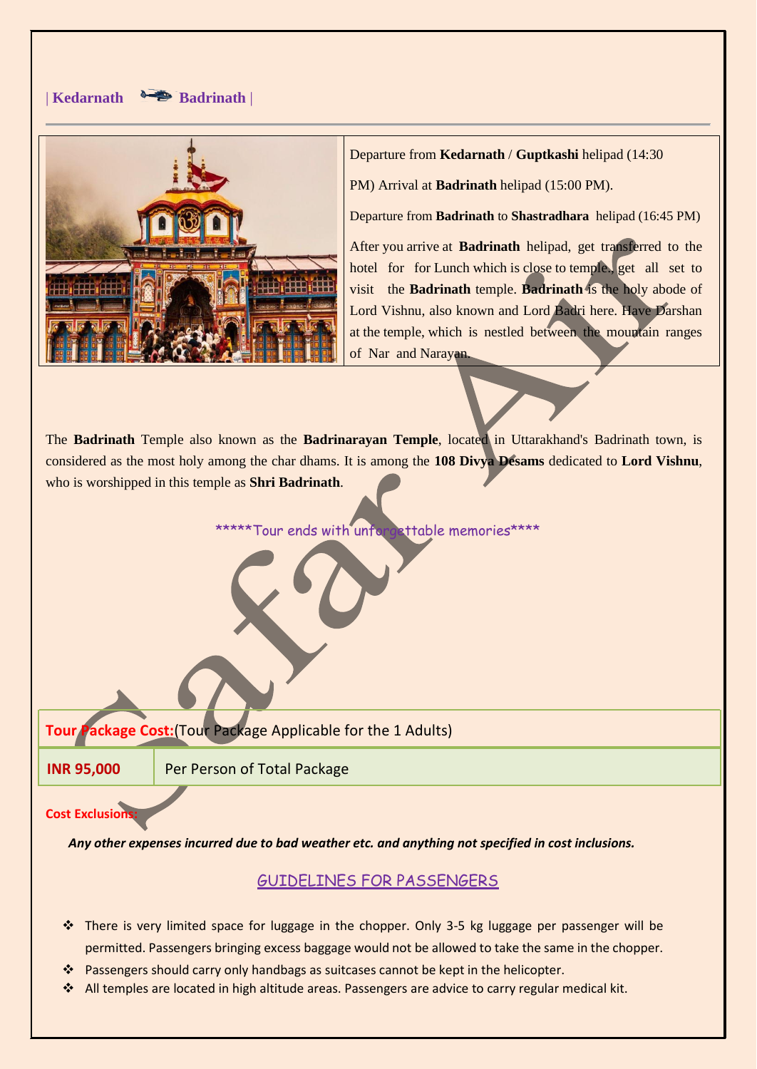#### | **Kedarnath Badrinath** |



Departure from **Kedarnath** / **Guptkashi** helipad (14:30

PM) Arrival at **Badrinath** helipad (15:00 PM).

Departure from **Badrinath** to **Shastradhara** helipad (16:45 PM)

After you arrive at **Badrinath** helipad, get transferred to the hotel for for Lunch which is close to temple., get all set to visit the **Badrinath** temple. **Badrinath** is the holy abode of Lord Vishnu, also known and Lord Badri here. Have Darshan at the temple, which is nestled between the mountain ranges of Nar and Narayan.

The **Badrinath** Temple also known as the **Badrinarayan Temple**, located in Uttarakhand's Badrinath town, is considered as the most holy among the char dhams. It is among the **108 Divya Desams** dedicated to **Lord Vishnu**, who is worshipped in this temple as **Shri Badrinath**.

\*\*\*\*\*Tour ends with unforgettable memories\*\*\*\*

**Tour Package Cost:**(Tour Package Applicable for the 1 Adults)

**INR 95,000 Per Person of Total Package** 

#### **Cost Exclusion**

*Any other expenses incurred due to bad weather etc. and anything not specified in cost inclusions.*

#### GUIDELINES FOR PASSENGERS

- ❖ There is very limited space for luggage in the chopper. Only 3-5 kg luggage per passenger will be permitted. Passengers bringing excess baggage would not be allowed to take the same in the chopper.
- ❖ Passengers should carry only handbags as suitcases cannot be kept in the helicopter.
- ❖ All temples are located in high altitude areas. Passengers are advice to carry regular medical kit.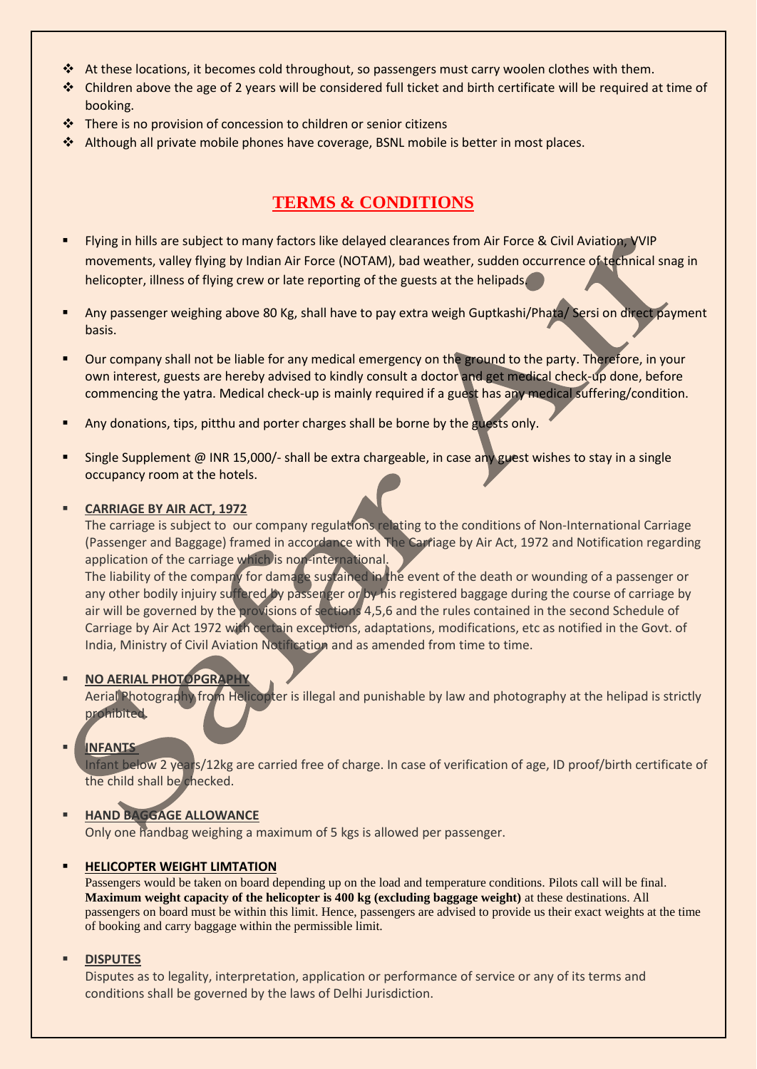- ❖ At these locations, it becomes cold throughout, so passengers must carry woolen clothes with them.
- ❖ Children above the age of 2 years will be considered full ticket and birth certificate will be required at time of booking.
- ❖ There is no provision of concession to children or senior citizens
- ❖ Although all private mobile phones have coverage, BSNL mobile is better in most places.

### **TERMS & CONDITIONS**

- Flying in hills are subject to many factors like delayed clearances from Air Force & Civil Aviation, VVIP movements, valley flying by Indian Air Force (NOTAM), bad weather, sudden occurrence of technical snag in helicopter, illness of flying crew or late reporting of the guests at the helipads.
- Any passenger weighing above 80 Kg, shall have to pay extra weigh Guptkashi/Phata/ Sersi on direct payment basis.
- Our company shall not be liable for any medical emergency on the ground to the party. Therefore, in your own interest, guests are hereby advised to kindly consult a doctor and get medical check-up done, before commencing the yatra. Medical check-up is mainly required if a guest has any medical suffering/condition.
- Any donations, tips, pitthu and porter charges shall be borne by the guests only.
- Single Supplement @ INR 15,000/- shall be extra chargeable, in case any guest wishes to stay in a single occupancy room at the hotels.

#### ▪ **CARRIAGE BY AIR ACT, 1972**

The carriage is subject to our company regulations relating to the conditions of Non-International Carriage (Passenger and Baggage) framed in accordance with The Carriage by Air Act, 1972 and Notification regarding application of the carriage which is non-international.

The liability of the company for damage sustained in the event of the death or wounding of a passenger or any other bodily injuiry suffered by passenger or by his registered baggage during the course of carriage by air will be governed by the provisions of sections 4,5,6 and the rules contained in the second Schedule of Carriage by Air Act 1972 with certain exceptions, adaptations, modifications, etc as notified in the Govt. of India, Ministry of Civil Aviation Notification and as amended from time to time.

#### ▪ **NO AERIAL PHOTOPGRAPHY**

Aerial Photography from Helicopter is illegal and punishable by law and photography at the helipad is strictly prohibited.

#### ▪ **INFANTS**

Infant below 2 years/12kg are carried free of charge. In case of verification of age, ID proof/birth certificate of the child shall be checked.

#### ▪ **HAND BAGGAGE ALLOWANCE**

Only one handbag weighing a maximum of 5 kgs is allowed per passenger.

#### **HELICOPTER WEIGHT LIMTATION**

Passengers would be taken on board depending up on the load and temperature conditions. Pilots call will be final. **Maximum weight capacity of the helicopter is 400 kg (excluding baggage weight)** at these destinations. All passengers on board must be within this limit. Hence, passengers are advised to provide us their exact weights at the time of booking and carry baggage within the permissible limit.

#### ▪ **DISPUTES**

Disputes as to legality, interpretation, application or performance of service or any of its terms and conditions shall be governed by the laws of Delhi Jurisdiction.